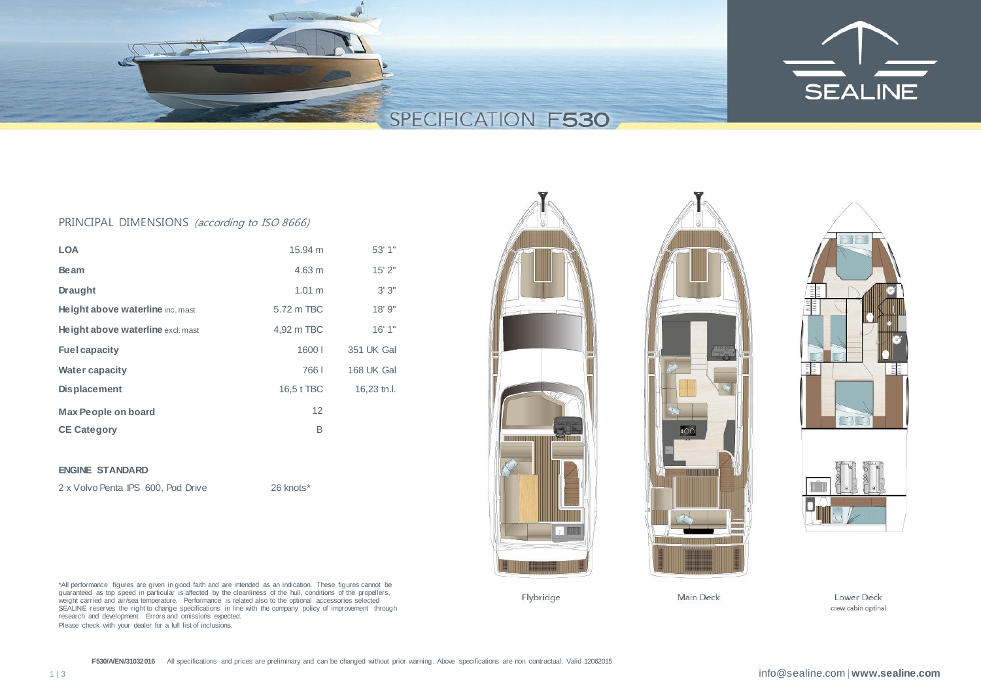

## PRINCIPAL DIMENSIONS (according to ISO 8666)

| <b>LOA</b>                        | 15.94 m          | 53' 1"      |
|-----------------------------------|------------------|-------------|
| <b>Beam</b>                       | $4.63 \text{ m}$ | 15'2"       |
| <b>Draught</b>                    | 1.01 m           | 3'3''       |
| Height above waterline inc. mast  | 5.72 m TBC       | 18'9''      |
| Height above waterline excl. mast | 4,92 m TBC       | 16'1"       |
| <b>Fuel capacity</b>              | 1600             | 351 UK Gal  |
| <b>Water capacity</b>             | 7661             | 168 UK Gal  |
| <b>Displacement</b>               | 16,5 t TBC       | 16,23 tn.l. |
| <b>Max People on board</b>        | 12               |             |
| <b>CE Category</b>                | В                |             |

### **ENGINE STANDARD**

2 x Volvo Penta IPS 600, Pod Drive 26 knots\*







\*All performance figures are given in good faith and are intended as an indication. These figures cannot be guaranteed as top speed in particular is affected by the cleanliness of the hull, conditions of the propellers, weight carried and air/sea temperature. Performance is related also to the optional accessories selected SEALINE reserves the right to change specifications in line with the company policy of improvement through research and development. Errors and omissions expected. Please check with your dealer for a full list of inclusions.

Flybridge

Main Deck

Lower Deck crew cabin optinal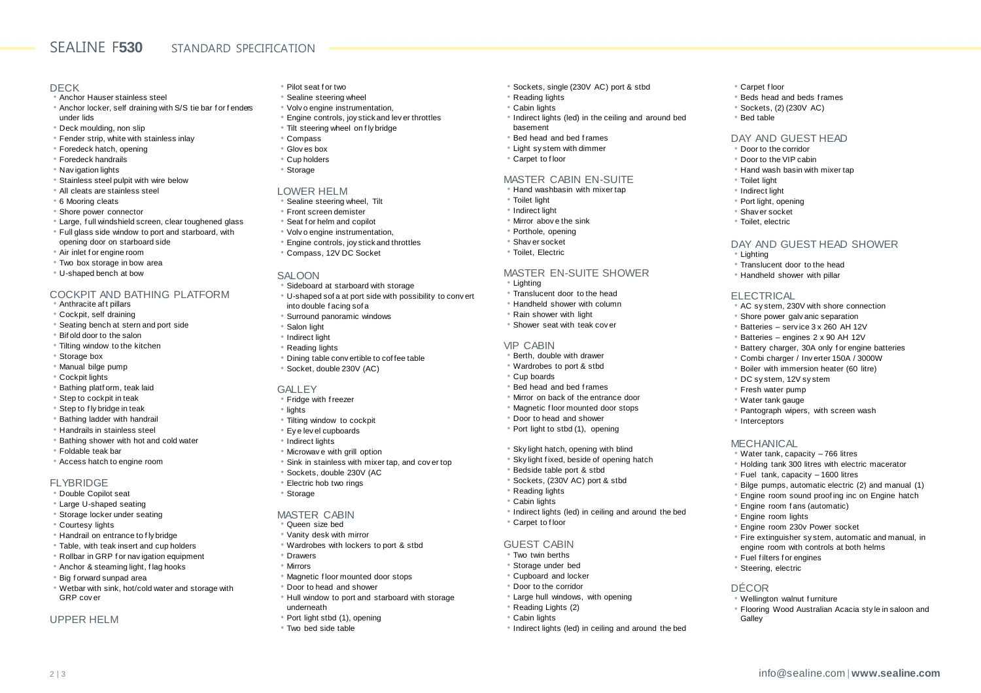# SEALINE F**530** STANDARD SPECIFICATION

### DECK

- Anchor Hauser stainless steel • Anchor locker, self draining with S/S tie bar f or f enders under lids
- Deck moulding, non slip
- Fender strip, white with stainless inlay
- Foredeck hatch, opening
- Foredeck handrails
- Nav igation lights
- Stainless steel pulpit with wire below
- All cleats are stainless steel
- 6 Mooring cleats
- Shore power connector
- Large, f ull windshield screen, clear toughened glass
- Full glass side window to port and starboard, with opening door on starboard side
- Air inlet f or engine room
- Two box storage in bow area
- U-shaped bench at bow

### COCKPIT AND BATHING PLATFORM

- Anthracite af t pillars
- Cockpit, self draining
- Seating bench at stern and port side
- Bif old door to the salon
- Tilting window to the kitchen
- Storage box
- Manual bilge pump
- Cockpit lights
- Bathing platf orm, teak laid
- Step to cockpit in teak
- Step to f ly bridge in teak
- Bathing ladder with handrail
- Handrails in stainless steel • Bathing shower with hot and cold water
- Foldable teak bar
- Access hatch to engine room

#### FLYBRIDGE

- Double Copilot seat
- Large U-shaped seating
- Storage locker under seating
- Courtesy lights
- Handrail on entrance to f ly bridge
- Table, with teak insert and cup holders
- Rollbar in GRP f or nav igation equipment
- Anchor & steaming light, f lag hooks
- Big f orward sunpad area
- Wetbar with sink, hot/cold water and storage with GRP cov er

### UPPER HELM

- Pilot seat f or two
- Sealine steering wheel
- Volv o engine instrumentation,
- Engine controls, joy stick and lev er throttles
- Tilt steering wheel on f ly bridge
- Compass
- Glov es box
- Cup holders
- Storage

#### LOWER HELM

- Sealine steering wheel, Tilt
- Front screen demister
- Seat f or helm and copilot
- Volv o engine instrumentation,
- Engine controls, joy stick and throttles
- Compass, 12V DC Socket

#### SALOON

- Sideboard at starboard with storage
- U-shaped sof a at port side with possibility to conv ert into double f acing sof a
- Surround panoramic windows
- Salon light
- Indirect light
- Reading lights
- Dining table conv ertible to cof fee table
- Socket, double 230V (AC)

#### GALLEY

- Fridge with f reezer
- lights
- Tilting window to cockpit
- Ey e lev el cupboards
- Indirect lights
- Microwav e with grill option
- Sink in stainless with mixer tap, and cov er top
- Sockets, double 230V (AC
- Electric hob two rings
- Storage

#### MASTER CABIN

- Queen size bed
- Vanity desk with mirror
- Wardrobes with lockers to port & stbd
- Drawers
- Mirrors
- Magnetic f loor mounted door stops
- Door to head and shower
- Hull window to port and starboard with storage underneath
- Port light stbd (1), opening

2 | 3 info@sealine.com | **www.sealine.com**

• Two bed side table

- Sockets, single (230V AC) port & stbd
- Reading lights
- Cabin lights
- Indirect lights (led) in the ceiling and around bed basement

• Carpet f loor

• Bed table

• Toilet light • Indirect light • Port light, opening • Shav er socket • Toilet, electric

• Lighting

ELECTRICAL

• Interceptors

**MECHANICAL** 

• Beds head and beds f rames • Sockets, (2) (230V AC)

DAY AND GUEST HEAD • Door to the corridor • Door to the VIP cabin • Hand wash basin with mixer tap

• Translucent door to the head • Handheld shower with pillar

• DC sy stem, 12V sy stem • Fresh water pump • Water tank gauge

DAY AND GUEST HEAD SHOWER

• AC sy stem, 230V with shore connection • Shore power galv anic separation • Batteries – serv ice 3 x 260 AH 12V • Batteries – engines 2 x 90 AH 12V • Battery charger, 30A only f or engine batteries • Combi charger / Inv erter 150A / 3000W • Boiler with immersion heater (60 litre)

• Pantograph wipers, with screen wash

• Holding tank 300 litres with electric macerator

• Bilge pumps, automatic electric (2) and manual (1) • Engine room sound proof ing inc on Engine hatch

• Fire extinguisher sy stem, automatic and manual, in engine room with controls at both helms

• Flooring Wood Australian Acacia sty le in saloon and

• Water tank, capacity – 766 litres

• Fuel tank, capacity – 1600 litres

• Engine room f ans (automatic) • Engine room lights

• Fuel f ilters f or engines • Steering, electric

• Wellington walnut f urniture

DÉCOR

**Galley** 

• Engine room 230v Power socket

- Bed head and bed f rames
- Light sy stem with dimmer
- Carpet to f loor

• Toilet light • Indirect light • Mirror abov e the sink • Porthole, opening • Shav er socket • Toilet, Electric

• Lighting

VIP CABIN

• Cup boards

#### MASTER CABIN EN-SUITE • Hand washbasin with mixer tap

MASTER EN-SUITE SHOWER

• Translucent door to the head • Handheld shower with column • Rain shower with light • Shower seat with teak cov er

• Berth, double with drawer • Wardrobes to port & stbd

• Bed head and bed f rames • Mirror on back of the entrance door • Magnetic f loor mounted door stops • Door to head and shower • Port light to stbd (1), opening • Sky light hatch, opening with blind • Sky light f ixed, beside of opening hatch

• Bedside table port & stbd • Sockets, (230V AC) port & stbd

• Large hull windows, with opening

• Indirect lights (led) in ceiling and around the bed

• Indirect lights (led) in ceiling and around the bed

• Reading lights • Cabin lights

• Carpet to f loor GUEST CABIN • Two twin berths • Storage under bed • Cupboard and locker • Door to the corridor

• Reading Lights (2) • Cabin lights